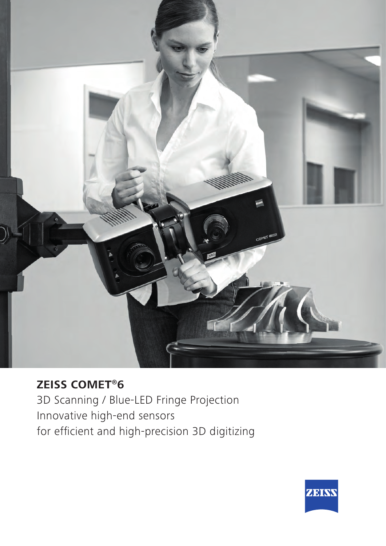

### **ZEISS COMET®6**

3D Scanning / Blue-LED Fringe Projection Innovative high-end sensors for efficient and high-precision 3D digitizing

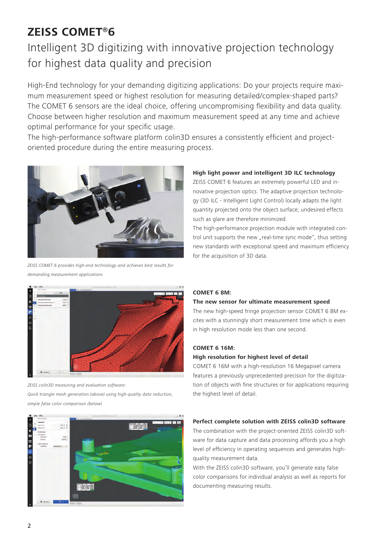## **ZEISS COMET®6**

# Intelligent 3D digitizing with innovative projection technology for highest data quality and precision

High-End technology for your demanding digitizing applications: Do your projects require maximum measurement speed or highest resolution for measuring detailed/complex-shaped parts? The COMET 6 sensors are the ideal choice, offering uncompromising flexibility and data quality. Choose between higher resolution and maximum measurement speed at any time and achieve optimal performance for your specific usage.

The high-performance software platform colin3D ensures a consistently efficient and projectoriented procedure during the entire measuring process.



*ZEISS COMET 6 provides high-end technology and achieves best results for demanding measurement applications*

### **High light power and intelligent 3D ILC technology**

ZEISS COMET 6 features an extremely powerful LED and innovative projection optics. The adaptive projection technology (3D ILC - Intelligent Light Control) locally adapts the light quantity projected onto the object surface; undesired effects such as glare are therefore minimized.

The high-performance projection module with integrated control unit supports the new "real-time sync mode", thus setting new standards with exceptional speed and maximum efficiency for the acquisition of 3D data.



*ZEISS colin3D measuring and evaluation software: Quick triangle mesh generation (above) using high-quality data reduction, simple false color comparison (below)*



### **COMET 6 8M:**

### **The new sensor for ultimate measurement speed**

The new high-speed fringe projection sensor COMET 6 8M excites with a stunningly short measurement time which is even in high resolution mode less than one second.

### **COMET 6 16M:**

### **High resolution for highest level of detail**

COMET 6 16M with a high-resolution 16 Megapixel camera features a previously unprecedented precision for the digitization of objects with fine structures or for applications requiring the highest level of detail.

### **Perfect complete solution with ZEISS colin3D software**

The combination with the project-oriented ZEISS colin3D software for data capture and data processing affords you a high level of efficiency in operating sequences and generates highquality measurement data.

With the ZEISS colin3D software, you'll generate easy false color comparisons for individual analysis as well as reports for documenting measuring results.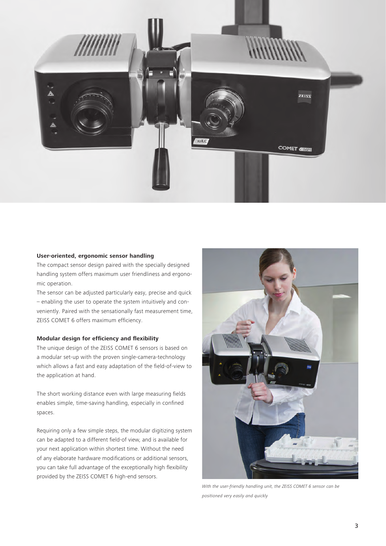

#### **User-oriented, ergonomic sensor handling**

The compact sensor design paired with the specially designed handling system offers maximum user friendliness and ergonomic operation.

The sensor can be adjusted particularly easy, precise and quick – enabling the user to operate the system intuitively and conveniently. Paired with the sensationally fast measurement time, ZEISS COMET 6 offers maximum efficiency.

#### **Modular design for efficiency and flexibility**

The unique design of the ZEISS COMET 6 sensors is based on a modular set-up with the proven single-camera-technology which allows a fast and easy adaptation of the field-of-view to the application at hand.

The short working distance even with large measuring fields enables simple, time-saving handling, especially in confined spaces.

Requiring only a few simple steps, the modular digitizing system can be adapted to a different field-of view, and is available for your next application within shortest time. Without the need of any elaborate hardware modifications or additional sensors, you can take full advantage of the exceptionally high flexibility provided by the ZEISS COMET 6 high-end sensors.



*With the user-friendly handling unit, the ZEISS COMET 6 sensor can be positioned very easily and quickly*